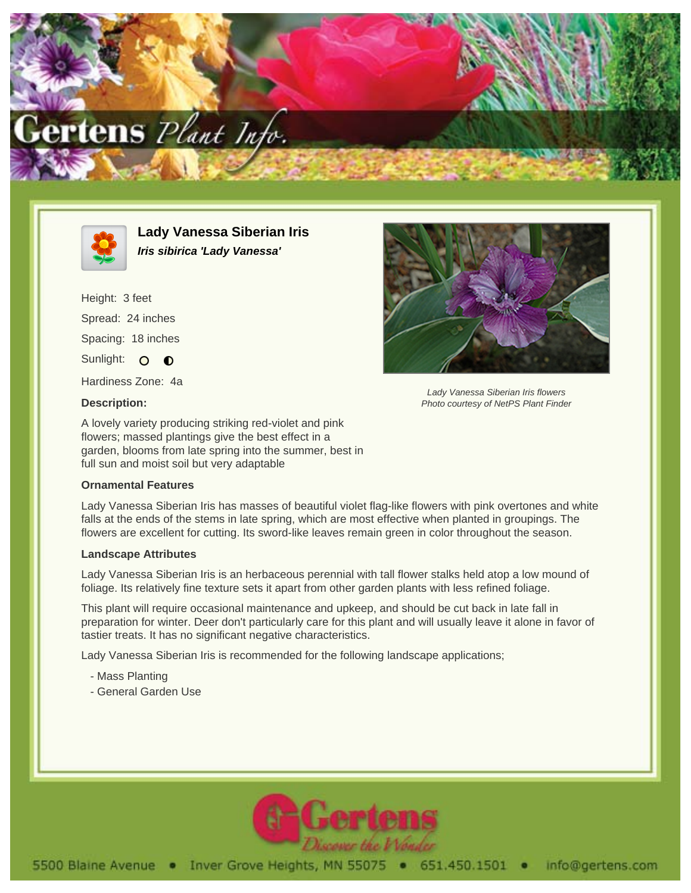



**Lady Vanessa Siberian Iris Iris sibirica 'Lady Vanessa'**

Height: 3 feet Spread: 24 inches Spacing: 18 inches Sunlight: O O Hardiness Zone: 4a

**Description:**

Lady Vanessa Siberian Iris flowers Photo courtesy of NetPS Plant Finder

A lovely variety producing striking red-violet and pink flowers; massed plantings give the best effect in a garden, blooms from late spring into the summer, best in full sun and moist soil but very adaptable

## **Ornamental Features**

Lady Vanessa Siberian Iris has masses of beautiful violet flag-like flowers with pink overtones and white falls at the ends of the stems in late spring, which are most effective when planted in groupings. The flowers are excellent for cutting. Its sword-like leaves remain green in color throughout the season.

## **Landscape Attributes**

Lady Vanessa Siberian Iris is an herbaceous perennial with tall flower stalks held atop a low mound of foliage. Its relatively fine texture sets it apart from other garden plants with less refined foliage.

This plant will require occasional maintenance and upkeep, and should be cut back in late fall in preparation for winter. Deer don't particularly care for this plant and will usually leave it alone in favor of tastier treats. It has no significant negative characteristics.

Lady Vanessa Siberian Iris is recommended for the following landscape applications;

- Mass Planting
- General Garden Use